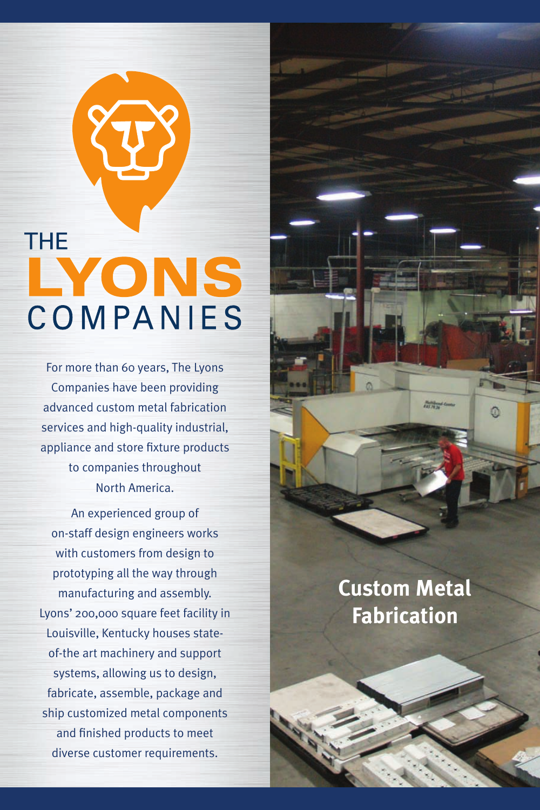# THE LYONS COMPANIES

For more than 60 years, The Lyons Companies have been providing advanced custom metal fabrication services and high-quality industrial, appliance and store fixture products to companies throughout North America.

An experienced group of on-staff design engineers works with customers from design to prototyping all the way through manufacturing and assembly. Lyons' 200,000 square feet facility in Louisville, Kentucky houses stateof-the art machinery and support systems, allowing us to design, fabricate, assemble, package and ship customized metal components and finished products to meet diverse customer requirements.

# **Custom Metal Fabrication**

**Rubbleville**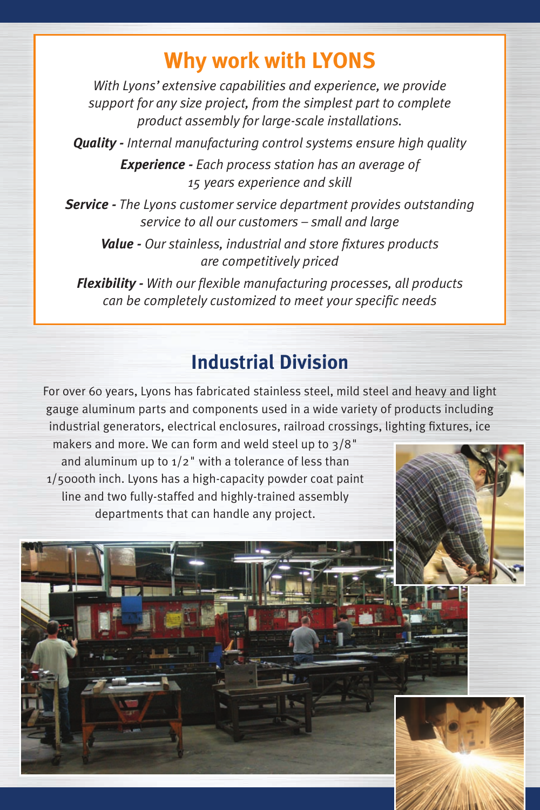## **Why work with Lyons**

*With Lyons' extensive capabilities and experience, we provide support for any size project, from the simplest part to complete product assembly for large-scale installations.* 

*Quality - Internal manufacturing control systems ensure high quality* 

*Experience - Each process station has an average of 15 years experience and skill*

*Service - The Lyons customer service department provides outstanding service to all our customers – small and large*

*Value - Our stainless, industrial and store fixtures products are competitively priced*

*Flexibility - With our flexible manufacturing processes, all products can be completely customized to meet your specific needs*

### **Industrial Division**

For over 60 years, Lyons has fabricated stainless steel, mild steel and heavy and light gauge aluminum parts and components used in a wide variety of products including industrial generators, electrical enclosures, railroad crossings, lighting fixtures, ice

makers and more. We can form and weld steel up to 3/8" and aluminum up to  $1/2$ " with a tolerance of less than 1/5000th inch. Lyons has a high-capacity powder coat paint line and two fully-staffed and highly-trained assembly departments that can handle any project.

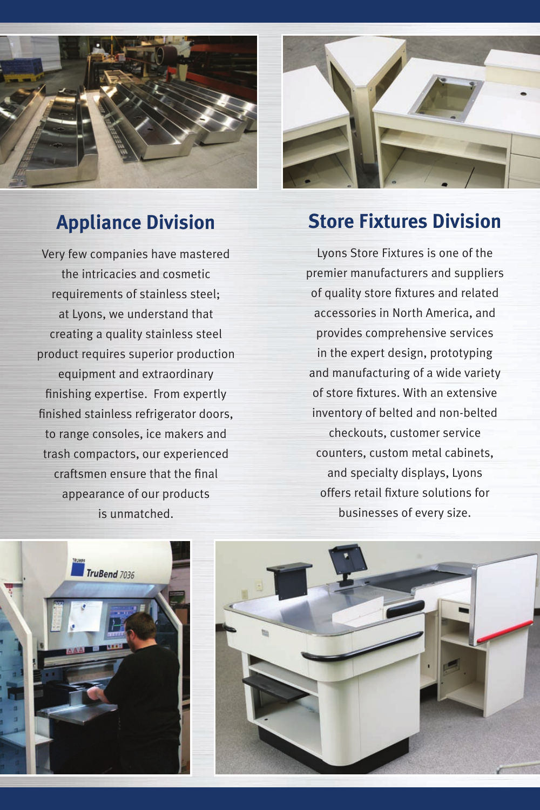

## **Appliance Division**

Very few companies have mastered the intricacies and cosmetic requirements of stainless steel; at Lyons, we understand that creating a quality stainless steel product requires superior production equipment and extraordinary finishing expertise. From expertly finished stainless refrigerator doors, to range consoles, ice makers and trash compactors, our experienced craftsmen ensure that the final appearance of our products is unmatched.



## **Store Fixtures Division**

Lyons Store Fixtures is one of the premier manufacturers and suppliers of quality store fixtures and related accessories in North America, and provides comprehensive services in the expert design, prototyping and manufacturing of a wide variety of store fixtures. With an extensive inventory of belted and non-belted checkouts, customer service counters, custom metal cabinets, and specialty displays, Lyons offers retail fixture solutions for businesses of every size.